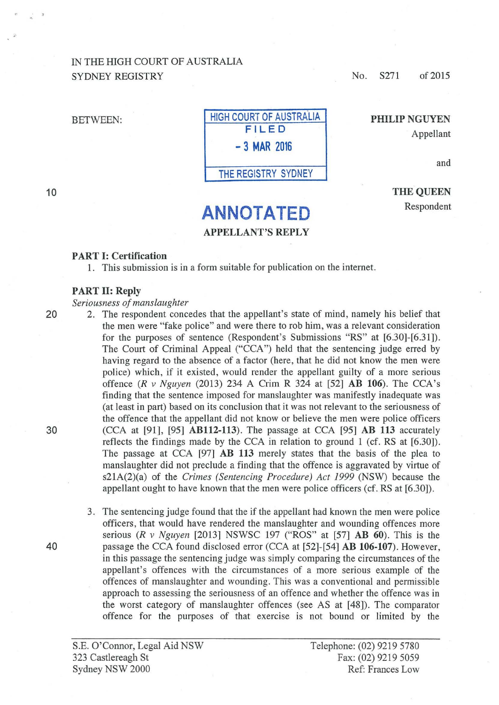## IN THE HIGH COURT OF AUSTRALIA SYDNEY REGISTRY

No. S271 of 2015

PHILIP NGUYEN

Appellant

and

10



THE QUEEN Respondent

# **ANNOTATED** APPELLANT'S REPLY

### PART 1: Certification

1. This submission is in a form suitable for publication on the internet.

#### PART 11: Reply

#### *Seriousness of manslaughter*

20 2. The respondent concedes that the appellant's state of mind, namely his belief that the men were "fake police" and were there to rob him, was a relevant consideration for the purposes of sentence (Respondent's Submissions "RS" at [6.30]-[6.31]). The Court of Criminal Appeal ("CCA") held that the sentencing judge erred by having regard to the absence of a factor (here, that he did not know the men were police) which, if it existed, would render the appellant guilty of a more serious offence *(R v Nguyen* (2013) 234 A Crim R 324 at [52] AB 106). The CCA's finding that the sentence imposed for manslaughter was manifestly inadequate was (at least in part) based on its conclusion that it was not relevant to the seriousness of the offence that the appellant did not know or believe the men were police officers 30 (CCA at [91], [95] AB112-113). The passage at CCA [95] AB 113 accurately reflects the findings made by the CCA in relation to ground 1 (cf. RS at [6.30]). The passage at CCA [97] AB 113 merely states that the basis of the plea to manslaughter did not preclude a finding that the offence is aggravated by virtue of s21A(2)(a) of the *Crimes (Sentencing Procedure) Act 1999* (NSW) because the appellant ought to have known that the men were police officers (cf. RS at [6.30]).

3. The sentencing judge found that the if the appellant had known the men were police officers, that would have rendered the manslaughter and wounding offences more serious *(R v Nguyen* [2013] NSWSC 197 ("ROS" at [57] AB 60). This is the 40 passage the CCA found disclosed error (CCA at [52]-[54] **AB 106-107**). However, in this passage the sentencing judge was simply comparing the circumstances of the appellant's offences with the circumstances of a more serious example of the offences of manslaughter and wounding. This was a conventional and permissible approach to assessing the seriousness of an offence and whether the offence was in the worst category of manslaughter offences (see AS at [48]). The comparator offence for the purposes of that exercise is not bound or limited by the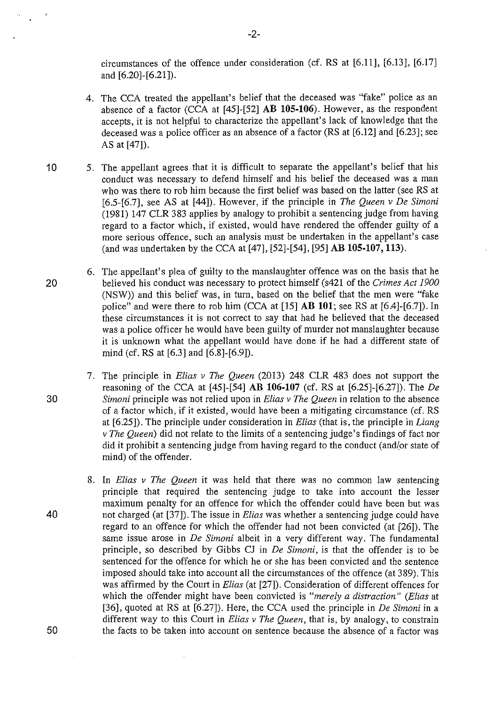circumstances of the offence under consideration (cf. RS at [6.11], [6.13], [6.17] and [6.20]-[6.21]).

- 4. The CCA treated the appellant's belief that the deceased was "fake" police as an absence of a factor (CCA at [45]-[52] **AB 105-106).** However, as the respondent accepts, it is not helpful to characterize the appellant's lack of knowledge that the deceased was a police officer as an absence of a factor (RS at [6.12] and [6.23]; see AS at [47]).
- 10 5. The appellant agrees that it is difficult to separate the appellant's belief that his conduct was necessary to defend himself and his belief the deceased was a man who was there to rob him because the first belief was based on the latter (see RS at [6.5-[6.7], see AS at [44]). However, if the principle in *The Queen v De Simoni*  (1981) 147 CLR 383 applies by analogy to prohibit a sentencing judge from having regard to a factor which, if existed, would have rendered the offender guilty of a more serious offence, such an analysis must be undertaken in the appellant's case (and was undertaken by the CCA at [47], [52]-[54], [95] **AB 105-107, 113).**
- 6. The appellant's plea of guilty to the manslaughter offence was on the basis that he 20 believed his conduct was necessary to protect himself (s421 of the *Crimes Act 1900*  (NSW)) and this belief was, in turn, based on the belief that the men were "fake police" and were there to rob him (CCA at [15] **AB 101;** seeRS at [6.4]-[6.7]). In these circumstances it is not correct to say that had he believed that the deceased was a police officer he would have been guilty of murder not manslaughter because it is unknown what the appellant would have done if he had a different state of mind (cf. RS at [6.3] and [6.8]-[6.9]).
- 7. The principle in *Elias v The Queen* (2013) 248 CLR 483 does not support the reasoning of the CCA at [45]-[54] **AB 106-107** (cf. RS at [6.25]-[6.27]). The *De*  30 *Simoni* principle was not relied upon in *Elias v The Queen* in relation to the absence of a factor which, if it existed, would have been a mitigating circumstance (cf. RS at [6.25]). The principle under consideration in *Elias* (that is, the principle in *Liang v The Queen)* did not relate to the limits of a sentencing judge's findings of fact nor did it prohibit a sentencing judge from having regard to the conduct (and/or state of mind) of the offender.
- 8. In *Elias v The Queen* it was held that there was no common law sentencing principle that required the sentencing judge to take into account the lesser maximum penalty for an offence for which the offender could have been but was 40 not charged (at [37]). The issue in *Elias* was whether a sentencing judge could have regard to an offence for which the offender had not been convicted (at [26]). The same issue arose in *De Simoni* albeit in a very different way. The fundamental principle, so described by Gibbs CJ in *De Simoni,* is that the offender is to be sentenced for the offence for which he or she has been convicted and the sentence imposed should take into account all the circumstances of the offence (at 389). This was affirmed by the Comt in *Elias* (at [27]). Consideration of different offences for which the offender might have been convicted is *"merely a distraction" (Elias* at [36], quoted at RS at [6.27]). Here, the CCA used the principle in *De Simoni* in a different way to this Court in *Elias v The Queen,* that is, by analogy, to constrain 50 the facts to be taken into account on sentence because the absence of a factor was